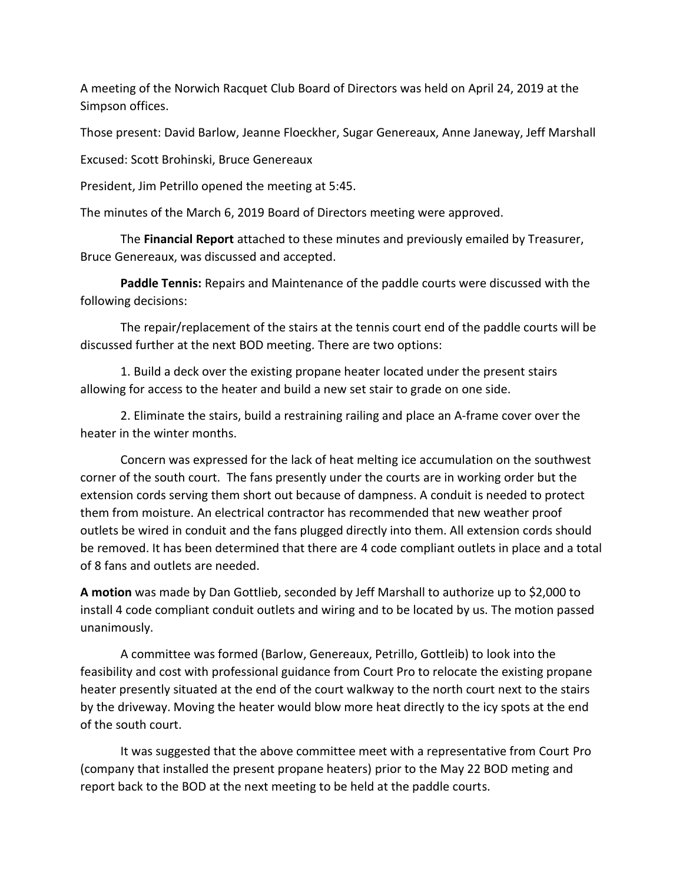A meeting of the Norwich Racquet Club Board of Directors was held on April 24, 2019 at the Simpson offices.

Those present: David Barlow, Jeanne Floeckher, Sugar Genereaux, Anne Janeway, Jeff Marshall

Excused: Scott Brohinski, Bruce Genereaux

President, Jim Petrillo opened the meeting at 5:45.

The minutes of the March 6, 2019 Board of Directors meeting were approved.

The **Financial Report** attached to these minutes and previously emailed by Treasurer, Bruce Genereaux, was discussed and accepted.

**Paddle Tennis:** Repairs and Maintenance of the paddle courts were discussed with the following decisions:

The repair/replacement of the stairs at the tennis court end of the paddle courts will be discussed further at the next BOD meeting. There are two options:

1. Build a deck over the existing propane heater located under the present stairs allowing for access to the heater and build a new set stair to grade on one side.

2. Eliminate the stairs, build a restraining railing and place an A-frame cover over the heater in the winter months.

Concern was expressed for the lack of heat melting ice accumulation on the southwest corner of the south court. The fans presently under the courts are in working order but the extension cords serving them short out because of dampness. A conduit is needed to protect them from moisture. An electrical contractor has recommended that new weather proof outlets be wired in conduit and the fans plugged directly into them. All extension cords should be removed. It has been determined that there are 4 code compliant outlets in place and a total of 8 fans and outlets are needed.

**A motion** was made by Dan Gottlieb, seconded by Jeff Marshall to authorize up to \$2,000 to install 4 code compliant conduit outlets and wiring and to be located by us. The motion passed unanimously.

A committee was formed (Barlow, Genereaux, Petrillo, Gottleib) to look into the feasibility and cost with professional guidance from Court Pro to relocate the existing propane heater presently situated at the end of the court walkway to the north court next to the stairs by the driveway. Moving the heater would blow more heat directly to the icy spots at the end of the south court.

It was suggested that the above committee meet with a representative from Court Pro (company that installed the present propane heaters) prior to the May 22 BOD meting and report back to the BOD at the next meeting to be held at the paddle courts.